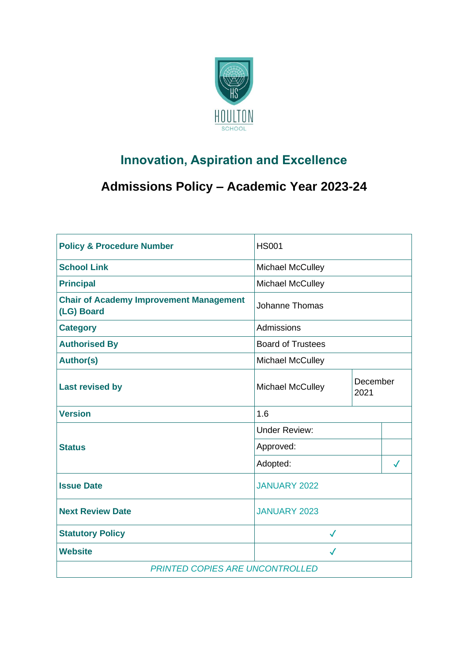

# **Innovation, Aspiration and Excellence**

# **Admissions Policy – Academic Year 2023-24**

| <b>Policy &amp; Procedure Number</b>                         | <b>HS001</b>             |                  |              |  |
|--------------------------------------------------------------|--------------------------|------------------|--------------|--|
| <b>School Link</b>                                           | <b>Michael McCulley</b>  |                  |              |  |
| <b>Principal</b>                                             | Michael McCulley         |                  |              |  |
| <b>Chair of Academy Improvement Management</b><br>(LG) Board | <b>Johanne Thomas</b>    |                  |              |  |
| <b>Category</b>                                              | Admissions               |                  |              |  |
| <b>Authorised By</b>                                         | <b>Board of Trustees</b> |                  |              |  |
| <b>Author(s)</b>                                             | Michael McCulley         |                  |              |  |
| <b>Last revised by</b>                                       | <b>Michael McCulley</b>  | December<br>2021 |              |  |
| <b>Version</b>                                               | 1.6                      |                  |              |  |
| <b>Status</b>                                                | <b>Under Review:</b>     |                  |              |  |
|                                                              | Approved:                |                  |              |  |
|                                                              | Adopted:                 |                  | $\checkmark$ |  |
| <b>Issue Date</b>                                            | JANUARY 2022             |                  |              |  |
|                                                              |                          |                  |              |  |
| <b>Next Review Date</b>                                      | <b>JANUARY 2023</b>      |                  |              |  |
| <b>Statutory Policy</b>                                      | $\checkmark$             |                  |              |  |
| <b>Website</b>                                               | $\checkmark$             |                  |              |  |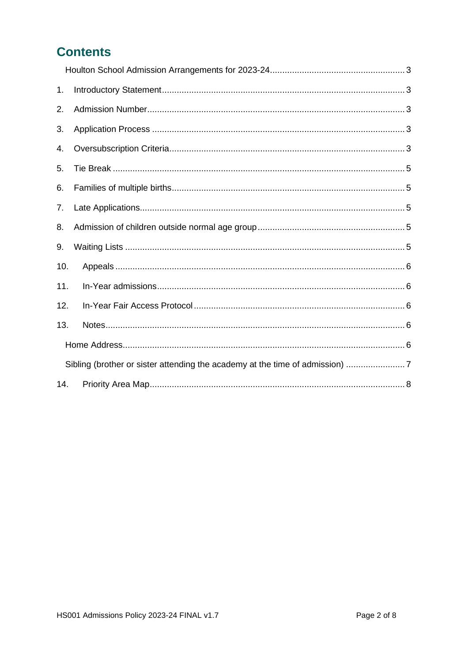# **Contents**

| 1.  |                                                                            |  |
|-----|----------------------------------------------------------------------------|--|
| 2.  |                                                                            |  |
| 3.  |                                                                            |  |
| 4.  |                                                                            |  |
| 5.  |                                                                            |  |
| 6.  |                                                                            |  |
| 7.  |                                                                            |  |
| 8.  |                                                                            |  |
| 9.  |                                                                            |  |
| 10. |                                                                            |  |
| 11. |                                                                            |  |
| 12. |                                                                            |  |
| 13. |                                                                            |  |
|     |                                                                            |  |
|     | Sibling (brother or sister attending the academy at the time of admission) |  |
| 14. |                                                                            |  |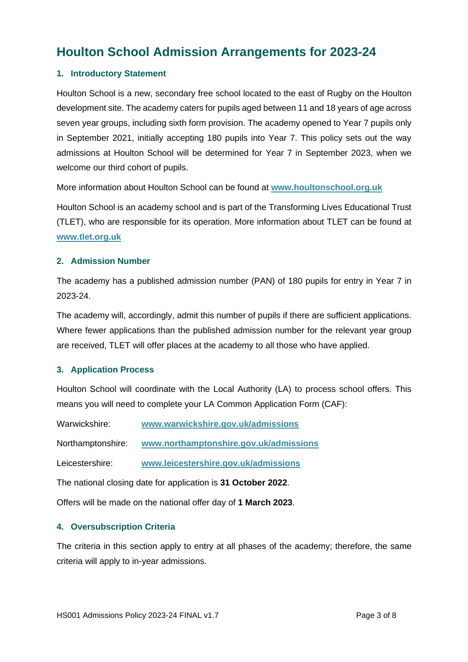## <span id="page-2-0"></span>**Houlton School Admission Arrangements for 2023-24**

#### <span id="page-2-1"></span>**1. Introductory Statement**

Houlton School is a new, secondary free school located to the east of Rugby on the Houlton development site. The academy caters for pupils aged between 11 and 18 years of age across seven year groups, including sixth form provision. The academy opened to Year 7 pupils only in September 2021, initially accepting 180 pupils into Year 7. This policy sets out the way admissions at Houlton School will be determined for Year 7 in September 2023, when we welcome our third cohort of pupils.

More information about Houlton School can be found at **[www.houltonschool.org.uk](http://www.houltonschool.org.uk/)**

Houlton School is an academy school and is part of the Transforming Lives Educational Trust (TLET), who are responsible for its operation. More information about TLET can be found at **[www.tlet.org.uk](http://www.tlet.org.uk/)**

#### <span id="page-2-2"></span>**2. Admission Number**

The academy has a published admission number (PAN) of 180 pupils for entry in Year 7 in 2023-24.

The academy will, accordingly, admit this number of pupils if there are sufficient applications. Where fewer applications than the published admission number for the relevant year group are received, TLET will offer places at the academy to all those who have applied.

#### <span id="page-2-3"></span>**3. Application Process**

Houlton School will coordinate with the Local Authority (LA) to process school offers. This means you will need to complete your LA Common Application Form (CAF):

Warwickshire: **[www.warwickshire.gov.uk/admissions](http://www.warwickshire.gov.uk/admissions)**

Northamptonshire: **[www.northamptonshire.gov.uk/admissions](http://www.northamptonshire.gov.uk/admissions)**

Leicestershire: **[www.leicestershire.gov.uk/admissions](http://www.leicestershire.gov.uk/admissions)**

The national closing date for application is **31 October 2022**.

Offers will be made on the national offer day of **1 March 2023**.

#### <span id="page-2-4"></span>**4. Oversubscription Criteria**

The criteria in this section apply to entry at all phases of the academy; therefore, the same criteria will apply to in-year admissions.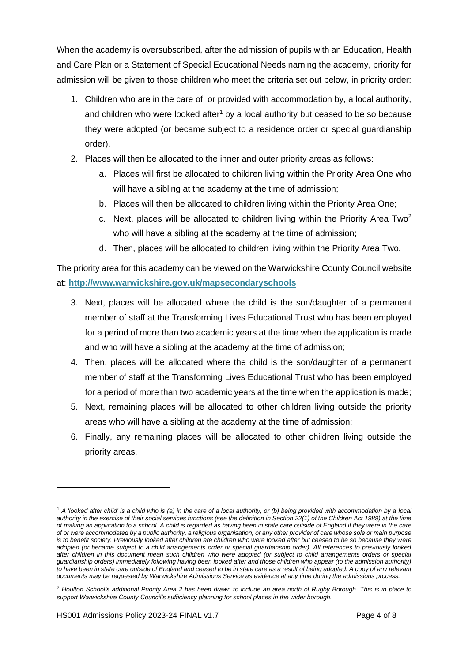When the academy is oversubscribed, after the admission of pupils with an Education, Health and Care Plan or a Statement of Special Educational Needs naming the academy, priority for admission will be given to those children who meet the criteria set out below, in priority order:

- 1. Children who are in the care of, or provided with accommodation by, a local authority, and children who were looked after<sup>1</sup> by a local authority but ceased to be so because they were adopted (or became subject to a residence order or special guardianship order).
- 2. Places will then be allocated to the inner and outer priority areas as follows:
	- a. Places will first be allocated to children living within the Priority Area One who will have a sibling at the academy at the time of admission;
	- b. Places will then be allocated to children living within the Priority Area One;
	- c. Next, places will be allocated to children living within the Priority Area Two<sup>2</sup> who will have a sibling at the academy at the time of admission;
	- d. Then, places will be allocated to children living within the Priority Area Two.

The priority area for this academy can be viewed on the Warwickshire County Council website at: **<http://www.warwickshire.gov.uk/mapsecondaryschools>**

- 3. Next, places will be allocated where the child is the son/daughter of a permanent member of staff at the Transforming Lives Educational Trust who has been employed for a period of more than two academic years at the time when the application is made and who will have a sibling at the academy at the time of admission;
- 4. Then, places will be allocated where the child is the son/daughter of a permanent member of staff at the Transforming Lives Educational Trust who has been employed for a period of more than two academic years at the time when the application is made;
- 5. Next, remaining places will be allocated to other children living outside the priority areas who will have a sibling at the academy at the time of admission;
- 6. Finally, any remaining places will be allocated to other children living outside the priority areas.

<sup>1</sup> *A 'looked after child' is a child who is (a) in the care of a local authority, or (b) being provided with accommodation by a local authority in the exercise of their social services functions (see the definition in Section 22(1) of the Children Act 1989) at the time of making an application to a school. A child is regarded as having been in state care outside of England if they were in the care of or were accommodated by a public authority, a religious organisation, or any other provider of care whose sole or main purpose*  is to benefit society. Previously looked after children are children who were looked after but ceased to be so because they were *adopted (or became subject to a child arrangements order or special guardianship order). All references to previously looked after children in this document mean such children who were adopted (or subject to child arrangements orders or special guardianship orders) immediately following having been looked after and those children who appear (to the admission authority)*  to have been in state care outside of England and ceased to be in state care as a result of being adopted. A copy of any relevant *documents may be requested by Warwickshire Admissions Service as evidence at any time during the admissions process.*

<sup>2</sup> *Houlton School's additional Priority Area 2 has been drawn to include an area north of Rugby Borough. This is in place to support Warwickshire County Council's sufficiency planning for school places in the wider borough.*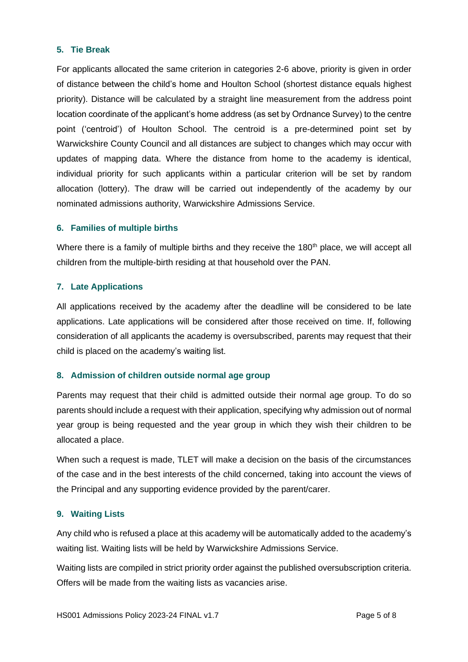#### <span id="page-4-0"></span>**5. Tie Break**

For applicants allocated the same criterion in categories 2-6 above, priority is given in order of distance between the child's home and Houlton School (shortest distance equals highest priority). Distance will be calculated by a straight line measurement from the address point location coordinate of the applicant's home address (as set by Ordnance Survey) to the centre point ('centroid') of Houlton School. The centroid is a pre-determined point set by Warwickshire County Council and all distances are subject to changes which may occur with updates of mapping data. Where the distance from home to the academy is identical, individual priority for such applicants within a particular criterion will be set by random allocation (lottery). The draw will be carried out independently of the academy by our nominated admissions authority, Warwickshire Admissions Service.

#### <span id="page-4-1"></span>**6. Families of multiple births**

Where there is a family of multiple births and they receive the 180<sup>th</sup> place, we will accept all children from the multiple-birth residing at that household over the PAN.

#### <span id="page-4-2"></span>**7. Late Applications**

All applications received by the academy after the deadline will be considered to be late applications. Late applications will be considered after those received on time. If, following consideration of all applicants the academy is oversubscribed, parents may request that their child is placed on the academy's waiting list.

#### <span id="page-4-3"></span>**8. Admission of children outside normal age group**

Parents may request that their child is admitted outside their normal age group. To do so parents should include a request with their application, specifying why admission out of normal year group is being requested and the year group in which they wish their children to be allocated a place.

When such a request is made, TLET will make a decision on the basis of the circumstances of the case and in the best interests of the child concerned, taking into account the views of the Principal and any supporting evidence provided by the parent/carer.

#### <span id="page-4-4"></span>**9. Waiting Lists**

Any child who is refused a place at this academy will be automatically added to the academy's waiting list. Waiting lists will be held by Warwickshire Admissions Service.

Waiting lists are compiled in strict priority order against the published oversubscription criteria. Offers will be made from the waiting lists as vacancies arise.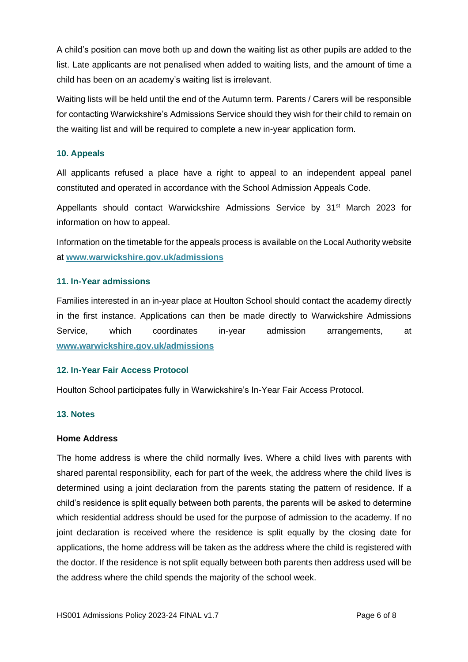A child's position can move both up and down the waiting list as other pupils are added to the list. Late applicants are not penalised when added to waiting lists, and the amount of time a child has been on an academy's waiting list is irrelevant.

Waiting lists will be held until the end of the Autumn term. Parents / Carers will be responsible for contacting Warwickshire's Admissions Service should they wish for their child to remain on the waiting list and will be required to complete a new in-year application form.

### <span id="page-5-0"></span>**10. Appeals**

All applicants refused a place have a right to appeal to an independent appeal panel constituted and operated in accordance with the School Admission Appeals Code.

Appellants should contact Warwickshire Admissions Service by 31<sup>st</sup> March 2023 for information on how to appeal.

Information on the timetable for the appeals process is available on the Local Authority website at **[www.warwickshire.gov.uk/admissions](http://www.warwickshire.gov.uk/admissions)**

#### <span id="page-5-1"></span>**11. In-Year admissions**

Families interested in an in-year place at Houlton School should contact the academy directly in the first instance. Applications can then be made directly to Warwickshire Admissions Service, which coordinates in-year admission arrangements, at **[www.warwickshire.gov.uk/admissions](http://www.warwickshire.gov.uk/admissions)**

### <span id="page-5-2"></span>**12. In-Year Fair Access Protocol**

Houlton School participates fully in Warwickshire's In-Year Fair Access Protocol.

#### <span id="page-5-3"></span>**13. Notes**

#### <span id="page-5-4"></span>**Home Address**

The home address is where the child normally lives. Where a child lives with parents with shared parental responsibility, each for part of the week, the address where the child lives is determined using a joint declaration from the parents stating the pattern of residence. If a child's residence is split equally between both parents, the parents will be asked to determine which residential address should be used for the purpose of admission to the academy. If no joint declaration is received where the residence is split equally by the closing date for applications, the home address will be taken as the address where the child is registered with the doctor. If the residence is not split equally between both parents then address used will be the address where the child spends the majority of the school week.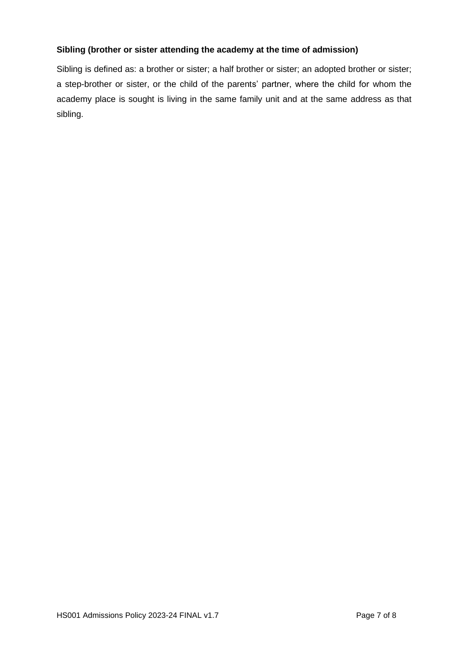### <span id="page-6-0"></span>**Sibling (brother or sister attending the academy at the time of admission)**

Sibling is defined as: a brother or sister; a half brother or sister; an adopted brother or sister; a step-brother or sister, or the child of the parents' partner, where the child for whom the academy place is sought is living in the same family unit and at the same address as that sibling.